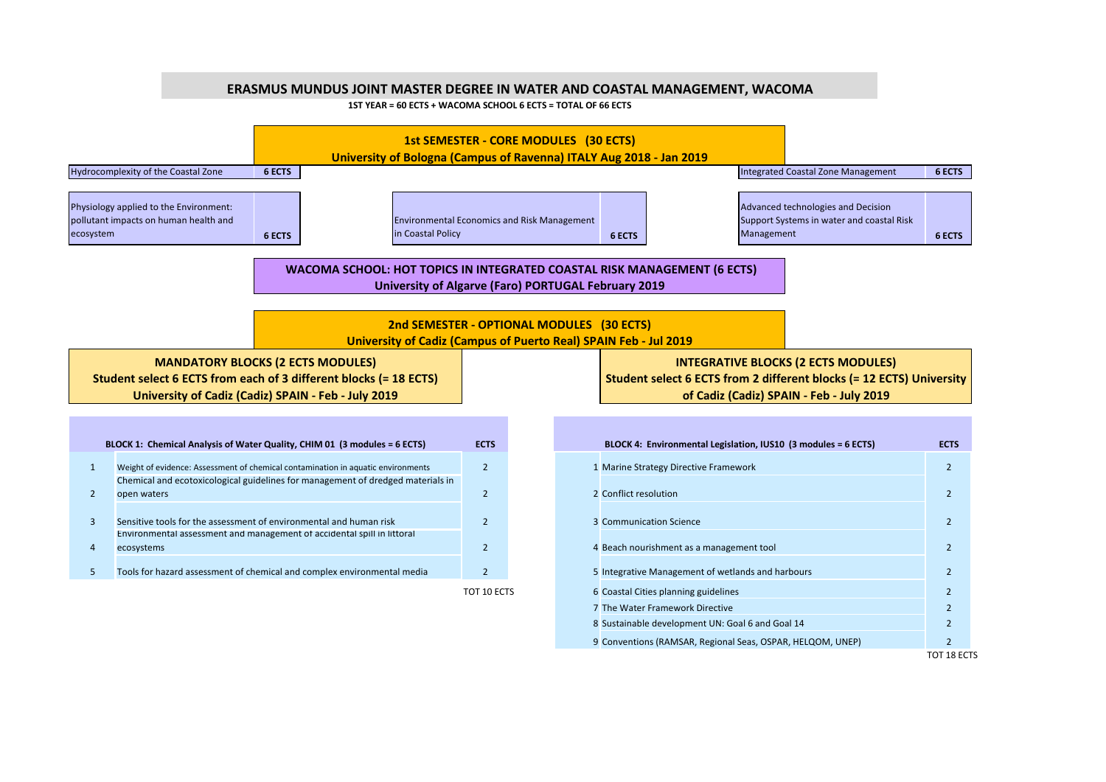## **ERASMUS MUNDUS JOINT MASTER DEGREE IN WATER AND COASTAL MANAGEMENT, WACOMA**

**1ST YEAR = 60 ECTS + WACOMA SCHOOL 6 ECTS = TOTAL OF 66 ECTS**



8 2 Sustainable development UN: Goal 6 and Goal 14 9 2 Conventions (RAMSAR, Regional Seas, OSPAR, HELQOM, UNEP)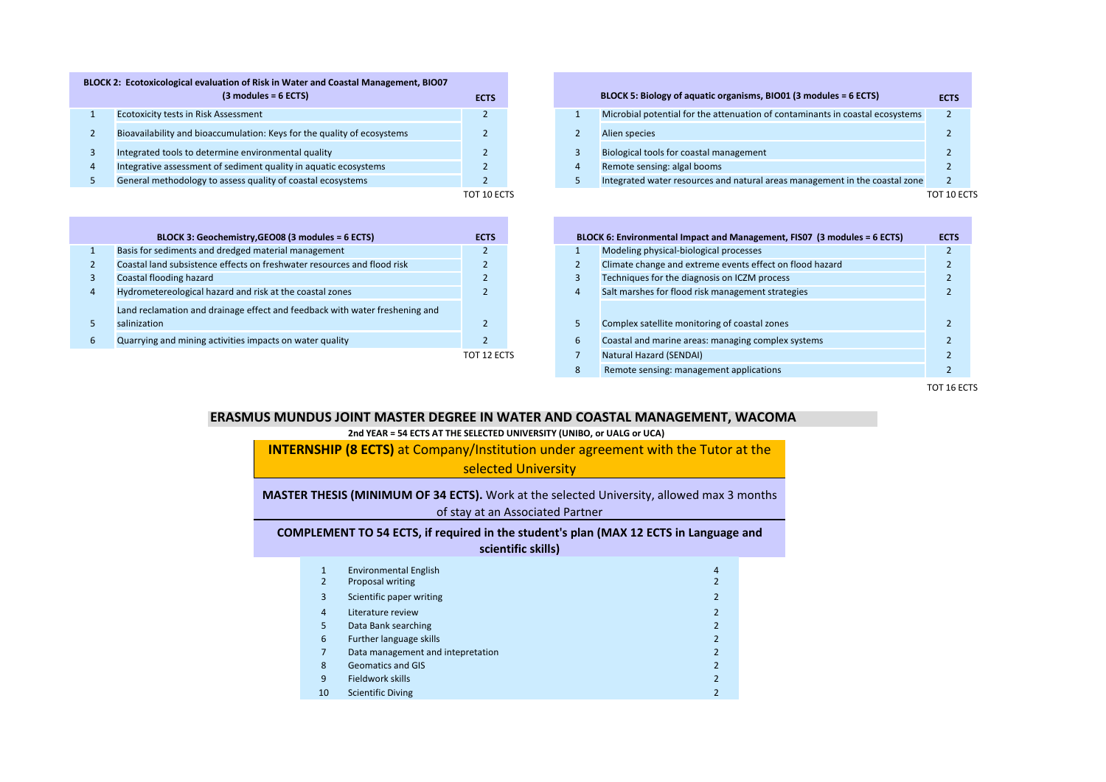| BLOCK 2: Ecotoxicological evaluation of Risk in Water and Coastal Management, BIO07 |             |  |                                                                               |       |
|-------------------------------------------------------------------------------------|-------------|--|-------------------------------------------------------------------------------|-------|
| $(3$ modules = 6 ECTS)                                                              | <b>ECTS</b> |  | BLOCK 5: Biology of aquatic organisms, BIO01 (3 modules = 6 ECTS)             | FC.   |
| <b>Ecotoxicity tests in Risk Assessment</b>                                         |             |  | Microbial potential for the attenuation of contaminants in coastal ecosystems |       |
| Bioavailability and bioaccumulation: Keys for the quality of ecosystems             |             |  | Alien species                                                                 |       |
| Integrated tools to determine environmental quality                                 |             |  | Biological tools for coastal management                                       |       |
| Integrative assessment of sediment quality in aquatic ecosystems                    |             |  | Remote sensing: algal booms                                                   |       |
| General methodology to assess quality of coastal ecosystems                         |             |  | Integrated water resources and natural areas management in the coastal zone   |       |
|                                                                                     | TOT 10 ECTS |  |                                                                               | TOT 1 |

| BLOCK 3: Geochemistry, GEO08 (3 modules = 6 ECTS)                           | <b>ECTS</b> |  | BLOCK 6: Environmental Impact and Management, FIS07 (3 modules = 6 ECTS) |
|-----------------------------------------------------------------------------|-------------|--|--------------------------------------------------------------------------|
| Basis for sediments and dredged material management                         |             |  | Modeling physical-biological processes                                   |
| Coastal land subsistence effects on freshwater resources and flood risk     |             |  | Climate change and extreme events effect on flood hazard                 |
| Coastal flooding hazard                                                     |             |  | Techniques for the diagnosis on ICZM process                             |
| Hydrometereological hazard and risk at the coastal zones                    |             |  | Salt marshes for flood risk management strategies                        |
| Land reclamation and drainage effect and feedback with water freshening and |             |  |                                                                          |
| salinization                                                                |             |  | Complex satellite monitoring of coastal zones                            |
| Quarrying and mining activities impacts on water quality                    |             |  | Coastal and marine areas: managing complex systems                       |
|                                                                             | TOT 12 ECTS |  | <b>Natural Hazard (SENDAI)</b>                                           |

| <b>ECTS</b> |   | BLOCK 5: Biology of aquatic organisms, BIO01 (3 modules = 6 ECTS)             | <b>ECTS</b> |
|-------------|---|-------------------------------------------------------------------------------|-------------|
|             |   | Microbial potential for the attenuation of contaminants in coastal ecosystems |             |
|             | 2 | Alien species                                                                 |             |
|             | 3 | Biological tools for coastal management                                       |             |
|             | 4 | Remote sensing: algal booms                                                   |             |
|             | 5 | Integrated water resources and natural areas management in the coastal zone   |             |
| TOT 10 ECTS |   |                                                                               | 10 FCTS     |

| <b>ECTS</b>   |    | BLOCK 6: Environmental Impact and Management, FIS07 (3 modules = 6 ECTS) | <b>ECTS</b> |
|---------------|----|--------------------------------------------------------------------------|-------------|
|               |    | Modeling physical-biological processes                                   |             |
| $\mathcal{P}$ | 2  | Climate change and extreme events effect on flood hazard                 |             |
| $\mathcal{D}$ | 3  | Techniques for the diagnosis on ICZM process                             |             |
|               | 4  | Salt marshes for flood risk management strategies                        |             |
|               |    |                                                                          |             |
| $\mathcal{P}$ | 5. | Complex satellite monitoring of coastal zones                            |             |
|               | 6  | Coastal and marine areas: managing complex systems                       |             |
| TOT 12 ECTS   |    | Natural Hazard (SENDAI)                                                  |             |
|               | 8  | Remote sensing: management applications                                  |             |

TOT 16 ECTS

## **ERASMUS MUNDUS JOINT MASTER DEGREE IN WATER AND COASTAL MANAGEMENT, WACOMA**

## **2nd YEAR = 54 ECTS AT THE SELECTED UNIVERSITY (UNIBO, or UALG or UCA)**

**INTERNSHIP (8 ECTS)** at Company/Institution under agreement with the Tutor at the selected University **MASTER THESIS (MINIMUM OF 34 ECTS).** Work at the selected University, allowed max 3 months of stay at an Associated Partner **COMPLEMENT TO 54 ECTS, if required in the student's plan (MAX 12 ECTS in Language and scientific skills)**

| 1<br>2         | <b>Environmental English</b><br>Proposal writing | 4 |
|----------------|--------------------------------------------------|---|
| 3              | Scientific paper writing                         |   |
| $\overline{4}$ | Literature review                                |   |
| 5              | Data Bank searching                              |   |
| 6              | Further language skills                          |   |
| 7              | Data management and intepretation                |   |
| 8              | <b>Geomatics and GIS</b>                         | 2 |
| 9              | Fieldwork skills                                 |   |
| 10             | <b>Scientific Diving</b>                         |   |